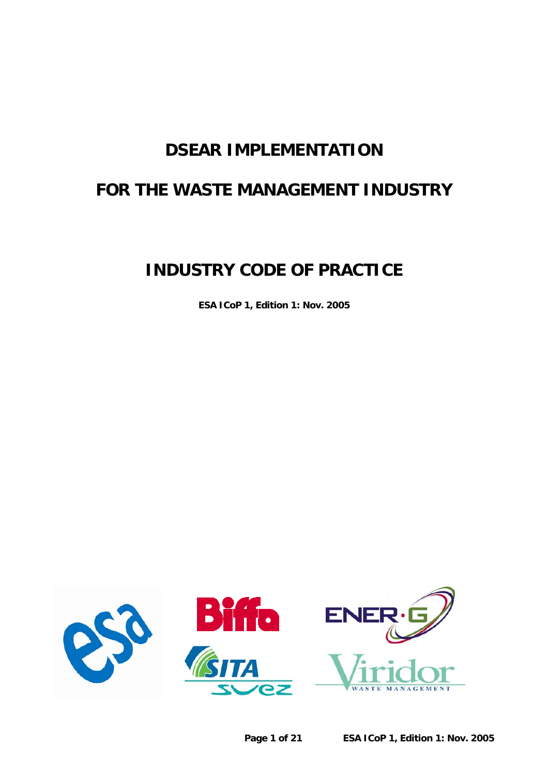# **DSEAR IMPLEMENTATION**

# **FOR THE WASTE MANAGEMENT INDUSTRY**

# **INDUSTRY CODE OF PRACTICE**

**ESA ICoP 1, Edition 1: Nov. 2005** 

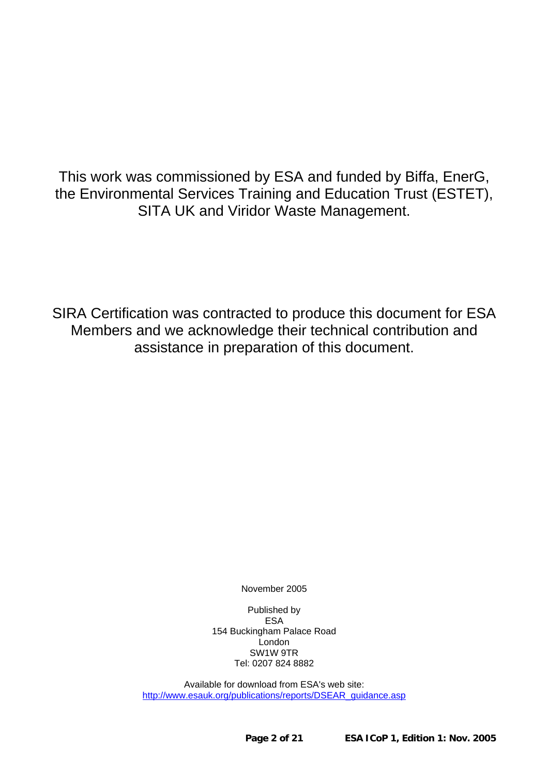This work was commissioned by ESA and funded by Biffa, EnerG, the Environmental Services Training and Education Trust (ESTET), SITA UK and Viridor Waste Management.

SIRA Certification was contracted to produce this document for ESA Members and we acknowledge their technical contribution and assistance in preparation of this document.

November 2005

Published by ESA 154 Buckingham Palace Road London SW1W 9TR Tel: 0207 824 8882

Available for download from ESA's web site: [http://www.esauk.org/publications/reports/DSEAR\\_guidance.asp](http://www.esauk.org/publications/reports/DSEAR_guidance.asp)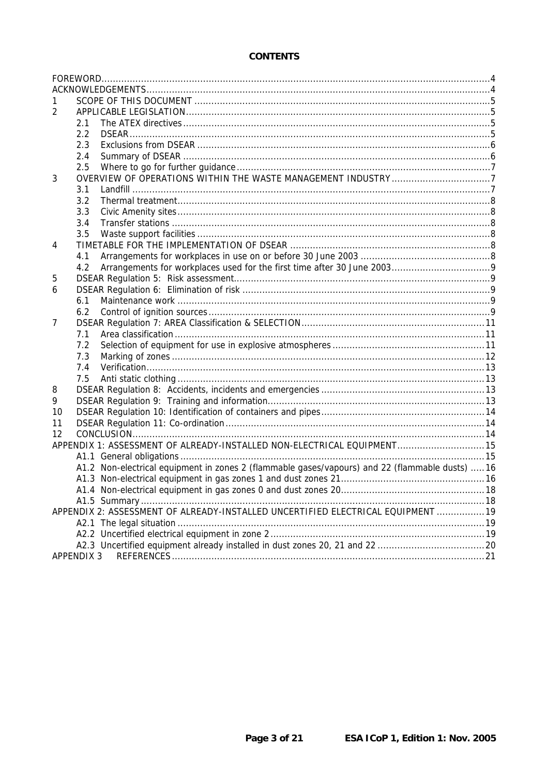## **CONTENTS**

| 2  |                                                                                                 |  |
|----|-------------------------------------------------------------------------------------------------|--|
|    | 2.1                                                                                             |  |
|    | 2.2                                                                                             |  |
|    | 2.3                                                                                             |  |
|    | 2.4                                                                                             |  |
|    | 2.5                                                                                             |  |
| 3  |                                                                                                 |  |
|    | 3.1                                                                                             |  |
|    | 3.2                                                                                             |  |
|    | 3.3                                                                                             |  |
|    | 3.4                                                                                             |  |
|    | 3.5                                                                                             |  |
| 4  |                                                                                                 |  |
|    | 4.1                                                                                             |  |
|    | 4.2                                                                                             |  |
| 5  |                                                                                                 |  |
| 6  |                                                                                                 |  |
|    | 6.1                                                                                             |  |
|    | 6.2                                                                                             |  |
| 7  |                                                                                                 |  |
|    | 7.1                                                                                             |  |
|    | 7.2                                                                                             |  |
|    | 7.3                                                                                             |  |
|    | 7.4                                                                                             |  |
|    | 7.5                                                                                             |  |
| 8  |                                                                                                 |  |
| 9  |                                                                                                 |  |
| 10 |                                                                                                 |  |
| 11 |                                                                                                 |  |
| 12 |                                                                                                 |  |
|    | APPENDIX 1: ASSESSMENT OF ALREADY-INSTALLED NON-ELECTRICAL EQUIPMENT 15                         |  |
|    |                                                                                                 |  |
|    | A1.2 Non-electrical equipment in zones 2 (flammable gases/vapours) and 22 (flammable dusts)  16 |  |
|    |                                                                                                 |  |
|    |                                                                                                 |  |
|    |                                                                                                 |  |
|    | APPENDIX 2: ASSESSMENT OF ALREADY-INSTALLED UNCERTIFIED ELECTRICAL EQUIPMENT  19                |  |
|    |                                                                                                 |  |
|    |                                                                                                 |  |
|    |                                                                                                 |  |
|    | <b>APPENDIX 3</b>                                                                               |  |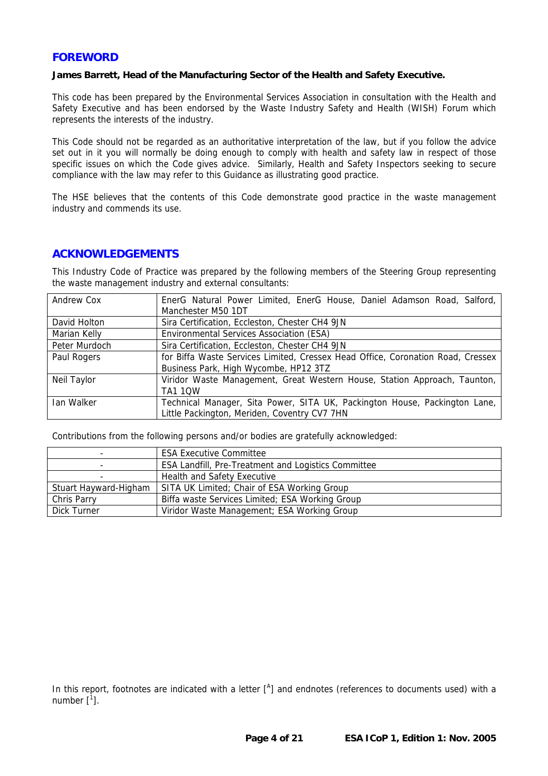## <span id="page-3-0"></span>**FOREWORD**

#### **James Barrett, Head of the Manufacturing Sector of the Health and Safety Executive.**

This code has been prepared by the Environmental Services Association in consultation with the Health and Safety Executive and has been endorsed by the Waste Industry Safety and Health (WISH) Forum which represents the interests of the industry.

This Code should not be regarded as an authoritative interpretation of the law, but if you follow the advice set out in it you will normally be doing enough to comply with health and safety law in respect of those specific issues on which the Code gives advice. Similarly, Health and Safety Inspectors seeking to secure compliance with the law may refer to this Guidance as illustrating good practice.

The HSE believes that the contents of this Code demonstrate good practice in the waste management industry and commends its use.

#### **ACKNOWLEDGEMENTS**

This Industry Code of Practice was prepared by the following members of the Steering Group representing the waste management industry and external consultants:

| Andrew Cox    | EnerG Natural Power Limited, EnerG House, Daniel Adamson Road, Salford,         |  |  |
|---------------|---------------------------------------------------------------------------------|--|--|
|               | Manchester M50 1DT                                                              |  |  |
| David Holton  | Sira Certification, Eccleston, Chester CH4 9JN                                  |  |  |
| Marian Kelly  | Environmental Services Association (ESA)                                        |  |  |
| Peter Murdoch | Sira Certification, Eccleston, Chester CH4 9JN                                  |  |  |
| Paul Rogers   | for Biffa Waste Services Limited, Cressex Head Office, Coronation Road, Cressex |  |  |
|               | Business Park, High Wycombe, HP12 3TZ                                           |  |  |
| Neil Taylor   | Viridor Waste Management, Great Western House, Station Approach, Taunton,       |  |  |
|               | <b>TA1 1QW</b>                                                                  |  |  |
| Ian Walker    | Technical Manager, Sita Power, SITA UK, Packington House, Packington Lane,      |  |  |
|               | Little Packington, Meriden, Coventry CV7 7HN                                    |  |  |

Contributions from the following persons and/or bodies are gratefully acknowledged:

| -                     | <b>ESA Executive Committee</b>                             |
|-----------------------|------------------------------------------------------------|
|                       | <b>ESA Landfill, Pre-Treatment and Logistics Committee</b> |
| -                     | Health and Safety Executive                                |
| Stuart Hayward-Higham | SITA UK Limited; Chair of ESA Working Group                |
| Chris Parry           | Biffa waste Services Limited; ESA Working Group            |
| Dick Turner           | Viridor Waste Management; ESA Working Group                |

In this report, footnotes are indicated with a letter  $[$ <sup>A</sup>] and endnotes (references to documents used) with a number [<sup>1</sup>].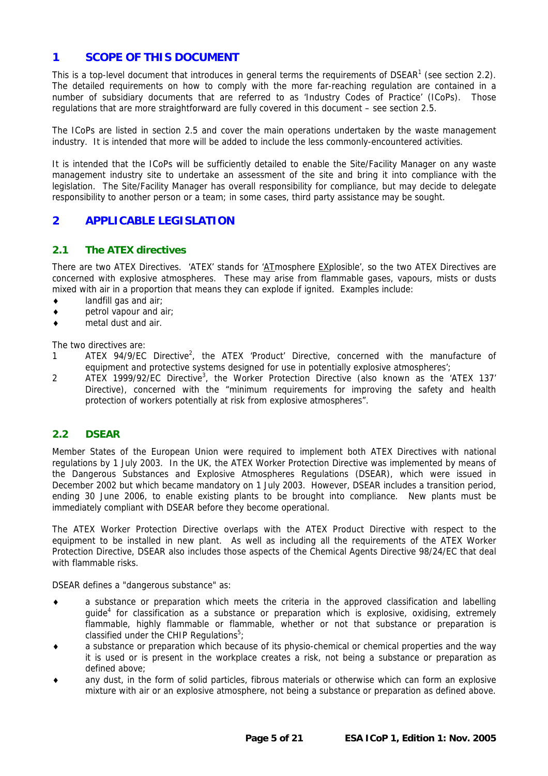# <span id="page-4-0"></span>**1 SCOPE OF THIS DOCUMENT**

This is a top-level document that introduces in general terms the requirements of DSEAR<sup>[1](#page-20-1)</sup> (see section [2.2\)](#page-4-1). The detailed requirements on how to comply with the more far-reaching regulation are contained in a number of subsidiary documents that are referred to as 'Industry Codes of Practice' (ICoPs). Those regulations that are more straightforward are fully covered in this document – see section [2.5.](#page-6-1)

The ICoPs are listed in section [2.5](#page-6-1) and cover the main operations undertaken by the waste management industry. It is intended that more will be added to include the less commonly-encountered activities.

It is intended that the ICoPs will be sufficiently detailed to enable the Site/Facility Manager on any waste management industry site to undertake an assessment of the site and bring it into compliance with the legislation. The Site/Facility Manager has overall responsibility for compliance, but may decide to delegate responsibility to another person or a team; in some cases, third party assistance may be sought.

# **2 APPLICABLE LEGISLATION**

## **2.1 The ATEX directives**

There are two ATEX Directives. 'ATEX' stands for 'ATmosphere EXplosible', so the two ATEX Directives are concerned with explosive atmospheres. These may arise from flammable gases, vapours, mists or dusts mixed with air in a proportion that means they can explode if ignited. Examples include:

- ♦ landfill gas and air;
- ♦ petrol vapour and air;
- ♦ metal dust and air.

The two directives are:

- 1 ATEX 94/9/EC Directive<sup>2</sup>[,](#page-20-2) the ATEX 'Product' Directive, concerned with the manufacture of equipment and protective systems designed for use in potentially explosive atmospheres':
- 2 ATEX 1999/92/EC Directive<sup>[3](#page-20-3)</sup>, the Worker Protection Directive (also known as the 'ATEX 137' Directive), concerned with the "minimum requirements for improving the safety and health protection of workers potentially at risk from explosive atmospheres".

## <span id="page-4-1"></span>**2.2 DSEAR**

Member States of the European Union were required to implement both ATEX Directives with national regulations by 1 July 2003. In the UK, the ATEX Worker Protection Directive was implemented by means of the Dangerous Substances and Explosive Atmospheres Regulations (DSEAR), which were issued in December 2002 but which became mandatory on 1 July 2003. However, DSEAR includes a transition period, ending 30 June 2006, to enable existing plants to be brought into compliance. New plants must be immediately compliant with DSEAR before they become operational.

The ATEX Worker Protection Directive overlaps with the ATEX Product Directive with respect to the equipment to be installed in new plant. As well as including all the requirements of the ATEX Worker Protection Directive, DSEAR also includes those aspects of the Chemical Agents Directive 98/24/EC that deal with flammable risks.

DSEAR defines a "dangerous substance" as:

- ♦ a substance or preparation which meets the criteria in the approved classification and labelling quide<sup>[4](#page-20-4)</sup> for classification as a substance or preparation which is explosive, oxidising, extremely flammable, highly flammable or flammable, whether or not that substance or preparation is classified under the CHIP Regulations<sup>[5](#page-20-5)</sup>;
- a substance or preparation which because of its physio-chemical or chemical properties and the way it is used or is present in the workplace creates a risk, not being a substance or preparation as defined above;
- any dust, in the form of solid particles, fibrous materials or otherwise which can form an explosive mixture with air or an explosive atmosphere, not being a substance or preparation as defined above.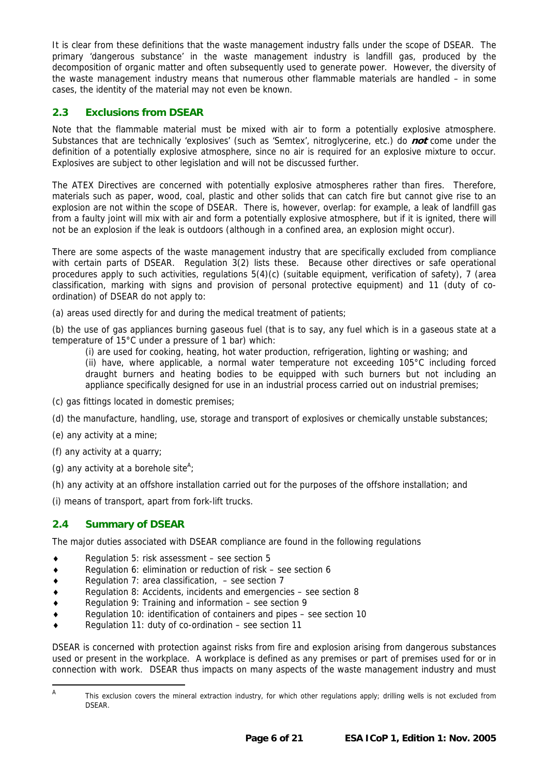<span id="page-5-0"></span>It is clear from these definitions that the waste management industry falls under the scope of DSEAR. The primary 'dangerous substance' in the waste management industry is landfill gas, produced by the decomposition of organic matter and often subsequently used to generate power. However, the diversity of the waste management industry means that numerous other flammable materials are handled – in some cases, the identity of the material may not even be known.

# **2.3 Exclusions from DSEAR**

Note that the flammable material must be mixed with air to form a potentially explosive atmosphere. Substances that are technically 'explosives' (such as 'Semtex', nitroglycerine, etc.) do **not** come under the definition of a potentially explosive atmosphere, since no air is required for an explosive mixture to occur. Explosives are subject to other legislation and will not be discussed further.

The ATEX Directives are concerned with potentially explosive atmospheres rather than fires. Therefore, materials such as paper, wood, coal, plastic and other solids that can catch fire but cannot give rise to an explosion are not within the scope of DSEAR. There is, however, overlap: for example, a leak of landfill gas from a faulty joint will mix with air and form a potentially explosive atmosphere, but if it is ignited, there will not be an explosion if the leak is outdoors (although in a confined area, an explosion might occur).

There are some aspects of the waste management industry that are specifically excluded from compliance with certain parts of DSEAR. Regulation 3(2) lists these. Because other directives or safe operational procedures apply to such activities, regulations 5(4)(c) (suitable equipment, verification of safety), 7 (area classification, marking with signs and provision of personal protective equipment) and 11 (duty of coordination) of DSEAR do not apply to:

(a) areas used directly for and during the medical treatment of patients;

(b) the use of gas appliances burning gaseous fuel (that is to say, any fuel which is in a gaseous state at a temperature of 15°C under a pressure of 1 bar) which:

(i) are used for cooking, heating, hot water production, refrigeration, lighting or washing; and

(ii) have, where applicable, a normal water temperature not exceeding 105°C including forced draught burners and heating bodies to be equipped with such burners but not including an appliance specifically designed for use in an industrial process carried out on industrial premises;

- (c) gas fittings located in domestic premises;
- (d) the manufacture, handling, use, storage and transport of explosives or chemically unstable substances;
- (e) any activity at a mine;
- (f) any activity at a quarry;
- (g) any activity at a borehole site<sup>[A](#page-5-1)</sup>;
- (h) any activity at an offshore installation carried out for the purposes of the offshore installation; and

(i) means of transport, apart from fork-lift trucks.

## **2.4 Summary of DSEAR**

The major duties associated with DSEAR compliance are found in the following regulations

- ♦ Regulation 5: risk assessment see section 5
- ♦ Regulation 6: elimination or reduction of risk see section 6
- ♦ Regulation 7: area classification, see section 7
- ♦ Regulation 8: Accidents, incidents and emergencies see section 8
- Regulation 9: Training and information see section 9
- Regulation 10: identification of containers and pipes see section 10
- Regulation 11: duty of co-ordination  $-$  see section 11

DSEAR is concerned with protection against risks from fire and explosion arising from dangerous substances used or present in the workplace. A workplace is defined as any premises or part of premises used for or in connection with work. DSEAR thus impacts on many aspects of the waste management industry and must

<span id="page-5-1"></span>A This exclusion covers the mineral extraction industry, for which other regulations apply; drilling wells is not excluded from DSEAR.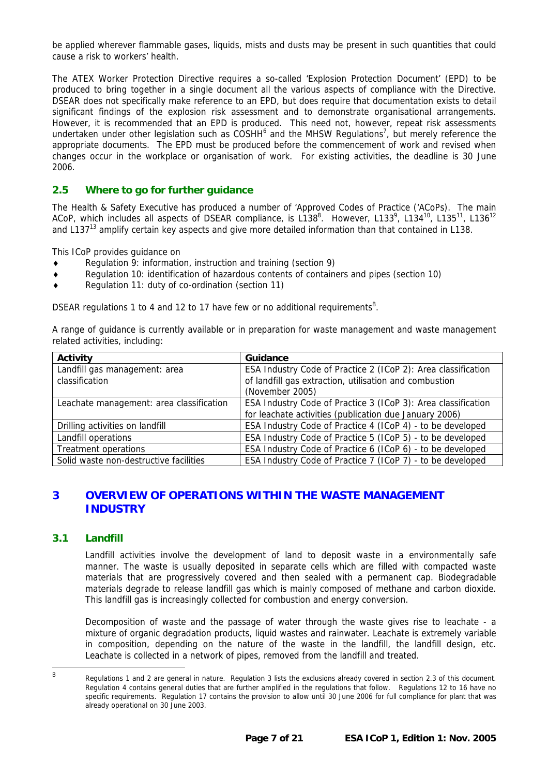<span id="page-6-0"></span>be applied wherever flammable gases, liquids, mists and dusts may be present in such quantities that could cause a risk to workers' health.

The ATEX Worker Protection Directive requires a so-called 'Explosion Protection Document' (EPD) to be produced to bring together in a single document all the various aspects of compliance with the Directive. DSEAR does not specifically make reference to an EPD, but does require that documentation exists to detail significant findings of the explosion risk assessment and to demonstrate organisational arrangements. However, it is recommended that an EPD is produced. This need not, however, repeat risk assessments undertaken under other legislation such as COSHH<sup>[6](#page-20-6)</sup> and the MHSW Regulations<sup>[7](#page-20-7)</sup>, but merely reference the appropriate documents. The EPD must be produced before the commencement of work and revised when changes occur in the workplace or organisation of work. For existing activities, the deadline is 30 June 2006.

#### <span id="page-6-1"></span>**2.5 Where to go for further guidance**

The Health & Safety Executive has produced a number of 'Approved Codes of Practice ('ACoPs). The main ACoP, which includes all aspects of DSEAR compliance, is L138<sup>8</sup>. However, L133<sup>[9](#page-20-9)</sup>, L134<sup>10</sup>, L135<sup>11</sup>, L136<sup>[12](#page-20-12)</sup> and L137<sup>13</sup> amplify certain key aspects and give more detailed information than that contained in L138.

This ICoP provides guidance on

- Regulation 9: information, instruction and training (section 9)
- ♦ Regulation 10: identification of hazardous contents of containers and pipes (section 10)
- ♦ Regulation 11: duty of co-ordination (section 11)

DSEAR regulations 1 to 4 and 12 to 17 have few or no additional requirements<sup>[B](#page-6-2)</sup>.

A range of guidance is currently available or in preparation for waste management and waste management related activities, including:

| <b>Activity</b>                          | Guidance                                                      |
|------------------------------------------|---------------------------------------------------------------|
| Landfill gas management: area            | ESA Industry Code of Practice 2 (ICoP 2): Area classification |
| classification                           | of landfill gas extraction, utilisation and combustion        |
|                                          | (November 2005)                                               |
| Leachate management: area classification | ESA Industry Code of Practice 3 (ICoP 3): Area classification |
|                                          | for leachate activities (publication due January 2006)        |
| Drilling activities on landfill          | ESA Industry Code of Practice 4 (ICoP 4) - to be developed    |
| Landfill operations                      | ESA Industry Code of Practice 5 (ICoP 5) - to be developed    |
| Treatment operations                     | ESA Industry Code of Practice 6 (ICoP 6) - to be developed    |
| Solid waste non-destructive facilities   | ESA Industry Code of Practice 7 (ICoP 7) - to be developed    |

# **3 OVERVIEW OF OPERATIONS WITHIN THE WASTE MANAGEMENT INDUSTRY**

#### **3.1 Landfill**

Landfill activities involve the development of land to deposit waste in a environmentally safe manner. The waste is usually deposited in separate cells which are filled with compacted waste materials that are progressively covered and then sealed with a permanent cap. Biodegradable materials degrade to release landfill gas which is mainly composed of methane and carbon dioxide. This landfill gas is increasingly collected for combustion and energy conversion.

Decomposition of waste and the passage of water through the waste gives rise to leachate - a mixture of organic degradation products, liquid wastes and rainwater. Leachate is extremely variable in composition, depending on the nature of the waste in the landfill, the landfill design, etc. Leachate is collected in a network of pipes, removed from the landfill and treated.

<span id="page-6-2"></span>B Regulations 1 and 2 are general in nature. Regulation 3 lists the exclusions already covered in section 2.3 of this document. Regulation 4 contains general duties that are further amplified in the regulations that follow. Regulations 12 to 16 have no specific requirements. Regulation 17 contains the provision to allow until 30 June 2006 for full compliance for plant that was already operational on 30 June 2003.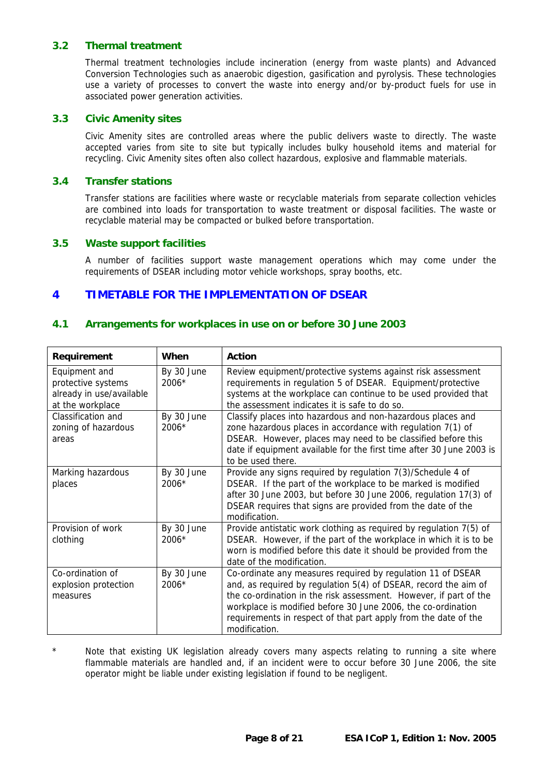#### <span id="page-7-0"></span>**3.2 Thermal treatment**

Thermal treatment technologies include incineration (energy from waste plants) and Advanced Conversion Technologies such as anaerobic digestion, gasification and pyrolysis. These technologies use a variety of processes to convert the waste into energy and/or by-product fuels for use in associated power generation activities.

#### **3.3 Civic Amenity sites**

Civic Amenity sites are controlled areas where the public delivers waste to directly. The waste accepted varies from site to site but typically includes bulky household items and material for recycling. Civic Amenity sites often also collect hazardous, explosive and flammable materials.

#### **3.4 Transfer stations**

Transfer stations are facilities where waste or recyclable materials from separate collection vehicles are combined into loads for transportation to waste treatment or disposal facilities. The waste or recyclable material may be compacted or bulked before transportation.

#### **3.5 Waste support facilities**

A number of facilities support waste management operations which may come under the requirements of DSEAR including motor vehicle workshops, spray booths, etc.

## **4 TIMETABLE FOR THE IMPLEMENTATION OF DSEAR**

#### **4.1 Arrangements for workplaces in use on or before 30 June 2003**

| <b>Requirement</b>                                                                  | When                  | <b>Action</b>                                                                                                                                                                                                                                                                                                                                           |
|-------------------------------------------------------------------------------------|-----------------------|---------------------------------------------------------------------------------------------------------------------------------------------------------------------------------------------------------------------------------------------------------------------------------------------------------------------------------------------------------|
| Equipment and<br>protective systems<br>already in use/available<br>at the workplace | By 30 June<br>2006*   | Review equipment/protective systems against risk assessment<br>requirements in regulation 5 of DSEAR. Equipment/protective<br>systems at the workplace can continue to be used provided that<br>the assessment indicates it is safe to do so.                                                                                                           |
| Classification and<br>zoning of hazardous<br>areas                                  | By 30 June<br>2006*   | Classify places into hazardous and non-hazardous places and<br>zone hazardous places in accordance with regulation 7(1) of<br>DSEAR. However, places may need to be classified before this<br>date if equipment available for the first time after 30 June 2003 is<br>to be used there.                                                                 |
| Marking hazardous<br>places                                                         | By 30 June<br>2006*   | Provide any signs required by regulation 7(3)/Schedule 4 of<br>DSEAR. If the part of the workplace to be marked is modified<br>after 30 June 2003, but before 30 June 2006, regulation 17(3) of<br>DSEAR requires that signs are provided from the date of the<br>modification.                                                                         |
| Provision of work<br>clothing                                                       | By 30 June<br>$2006*$ | Provide antistatic work clothing as required by regulation 7(5) of<br>DSEAR. However, if the part of the workplace in which it is to be<br>worn is modified before this date it should be provided from the<br>date of the modification.                                                                                                                |
| Co-ordination of<br>explosion protection<br>measures                                | By 30 June<br>2006*   | Co-ordinate any measures required by regulation 11 of DSEAR<br>and, as required by regulation 5(4) of DSEAR, record the aim of<br>the co-ordination in the risk assessment. However, if part of the<br>workplace is modified before 30 June 2006, the co-ordination<br>requirements in respect of that part apply from the date of the<br>modification. |

\* Note that existing UK legislation already covers many aspects relating to running a site where flammable materials are handled and, if an incident were to occur before 30 June 2006, the site operator might be liable under existing legislation if found to be negligent.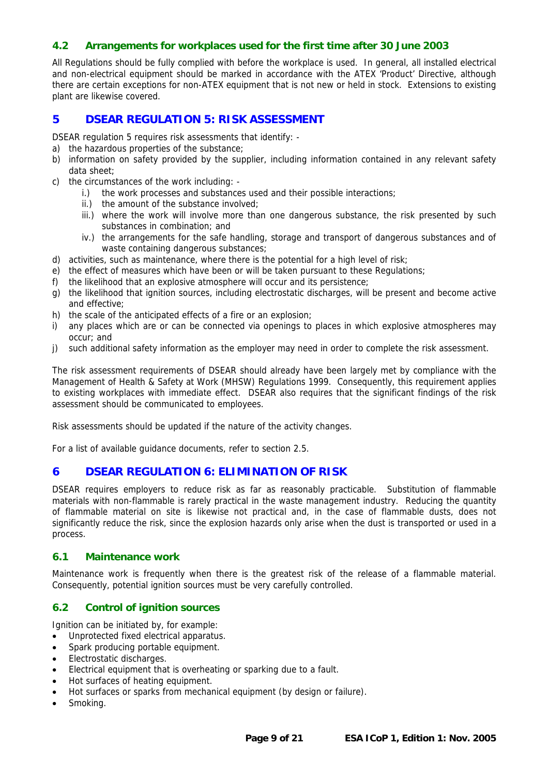#### <span id="page-8-0"></span>**4.2 Arrangements for workplaces used for the first time after 30 June 2003**

All Regulations should be fully complied with before the workplace is used. In general, all installed electrical and non-electrical equipment should be marked in accordance with the ATEX 'Product' Directive, although there are certain exceptions for non-ATEX equipment that is not new or held in stock. Extensions to existing plant are likewise covered.

# **5 DSEAR REGULATION 5: RISK ASSESSMENT**

DSEAR regulation 5 requires risk assessments that identify: -

- a) the hazardous properties of the substance;
- b) information on safety provided by the supplier, including information contained in any relevant safety data sheet;
- c) the circumstances of the work including:
	- i.) the work processes and substances used and their possible interactions;
	- ii.) the amount of the substance involved;
	- iii.) where the work will involve more than one dangerous substance, the risk presented by such substances in combination; and
	- iv.) the arrangements for the safe handling, storage and transport of dangerous substances and of waste containing dangerous substances;
- d) activities, such as maintenance, where there is the potential for a high level of risk;
- e) the effect of measures which have been or will be taken pursuant to these Regulations;
- f) the likelihood that an explosive atmosphere will occur and its persistence;
- g) the likelihood that ignition sources, including electrostatic discharges, will be present and become active and effective;
- h) the scale of the anticipated effects of a fire or an explosion;
- i) any places which are or can be connected via openings to places in which explosive atmospheres may occur; and
- j) such additional safety information as the employer may need in order to complete the risk assessment.

The risk assessment requirements of DSEAR should already have been largely met by compliance with the Management of Health & Safety at Work (MHSW) Regulations 1999. Consequently, this requirement applies to existing workplaces with immediate effect. DSEAR also requires that the significant findings of the risk assessment should be communicated to employees.

Risk assessments should be updated if the nature of the activity changes.

For a list of available guidance documents, refer to section [2.5.](#page-6-1)

## **6 DSEAR REGULATION 6: ELIMINATION OF RISK**

DSEAR requires employers to reduce risk as far as reasonably practicable. Substitution of flammable materials with non-flammable is rarely practical in the waste management industry. Reducing the quantity of flammable material on site is likewise not practical and, in the case of flammable dusts, does not significantly reduce the risk, since the explosion hazards only arise when the dust is transported or used in a process.

#### **6.1 Maintenance work**

Maintenance work is frequently when there is the greatest risk of the release of a flammable material. Consequently, potential ignition sources must be very carefully controlled.

#### **6.2 Control of ignition sources**

Ignition can be initiated by, for example:

- Unprotected fixed electrical apparatus.
- Spark producing portable equipment.
- Electrostatic discharges.
- Electrical equipment that is overheating or sparking due to a fault.
- Hot surfaces of heating equipment.
- Hot surfaces or sparks from mechanical equipment (by design or failure).
- Smoking.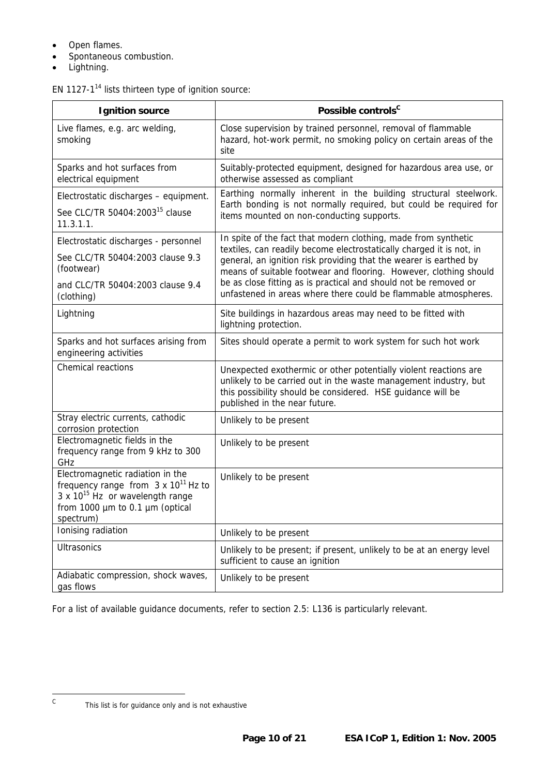- Open flames.
- Spontaneous combustion.
- Lightning.

# EN 1127-[114](#page-20-14) lists thirteen type of ignition source:

| <b>Ignition source</b>                                                                                                                                                           | Possible controls <sup>c</sup>                                                                                                                                                                                                       |
|----------------------------------------------------------------------------------------------------------------------------------------------------------------------------------|--------------------------------------------------------------------------------------------------------------------------------------------------------------------------------------------------------------------------------------|
| Live flames, e.g. arc welding,<br>smoking                                                                                                                                        | Close supervision by trained personnel, removal of flammable<br>hazard, hot-work permit, no smoking policy on certain areas of the<br>site                                                                                           |
| Sparks and hot surfaces from<br>electrical equipment                                                                                                                             | Suitably-protected equipment, designed for hazardous area use, or<br>otherwise assessed as compliant                                                                                                                                 |
| Electrostatic discharges - equipment.                                                                                                                                            | Earthing normally inherent in the building structural steelwork.<br>Earth bonding is not normally required, but could be required for                                                                                                |
| See CLC/TR 50404:2003 <sup>15</sup> clause<br>11.3.1.1.                                                                                                                          | items mounted on non-conducting supports.                                                                                                                                                                                            |
| Electrostatic discharges - personnel                                                                                                                                             | In spite of the fact that modern clothing, made from synthetic<br>textiles, can readily become electrostatically charged it is not, in                                                                                               |
| See CLC/TR 50404:2003 clause 9.3<br>(footwear)                                                                                                                                   | general, an ignition risk providing that the wearer is earthed by<br>means of suitable footwear and flooring. However, clothing should                                                                                               |
| and CLC/TR 50404:2003 clause 9.4<br>(clothing)                                                                                                                                   | be as close fitting as is practical and should not be removed or<br>unfastened in areas where there could be flammable atmospheres.                                                                                                  |
| Lightning                                                                                                                                                                        | Site buildings in hazardous areas may need to be fitted with<br>lightning protection.                                                                                                                                                |
| Sparks and hot surfaces arising from<br>engineering activities                                                                                                                   | Sites should operate a permit to work system for such hot work                                                                                                                                                                       |
| Chemical reactions                                                                                                                                                               | Unexpected exothermic or other potentially violent reactions are<br>unlikely to be carried out in the waste management industry, but<br>this possibility should be considered. HSE guidance will be<br>published in the near future. |
| Stray electric currents, cathodic<br>corrosion protection                                                                                                                        | Unlikely to be present                                                                                                                                                                                                               |
| Electromagnetic fields in the<br>frequency range from 9 kHz to 300<br>GHz                                                                                                        | Unlikely to be present                                                                                                                                                                                                               |
| Electromagnetic radiation in the<br>frequency range from $3 \times 10^{11}$ Hz to<br>3 x 10 <sup>15</sup> Hz or wavelength range<br>from 1000 µm to 0.1 µm (optical<br>spectrum) | Unlikely to be present                                                                                                                                                                                                               |
| Ionising radiation                                                                                                                                                               | Unlikely to be present                                                                                                                                                                                                               |
| <b>Ultrasonics</b>                                                                                                                                                               | Unlikely to be present; if present, unlikely to be at an energy level<br>sufficient to cause an ignition                                                                                                                             |
| Adiabatic compression, shock waves,<br>gas flows                                                                                                                                 | Unlikely to be present                                                                                                                                                                                                               |

For a list of available guidance documents, refer to section [2.5:](#page-6-1) L136 is particularly relevant.

<span id="page-9-0"></span> $\,$  C  $\,$ 

This list is for guidance only and is not exhaustive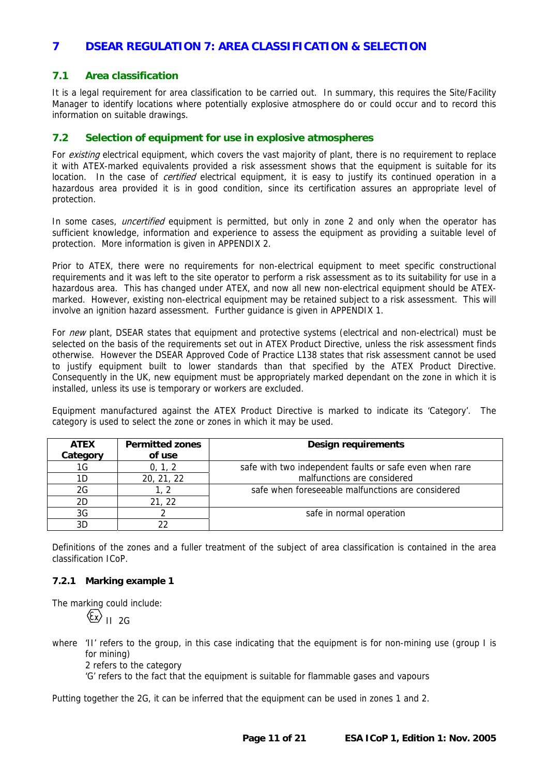# <span id="page-10-0"></span>**7 DSEAR REGULATION 7: AREA CLASSIFICATION & SELECTION**

#### **7.1 Area classification**

It is a legal requirement for area classification to be carried out. In summary, this requires the Site/Facility Manager to identify locations where potentially explosive atmosphere do or could occur and to record this information on suitable drawings.

#### **7.2 Selection of equipment for use in explosive atmospheres**

For *existing* electrical equipment, which covers the vast majority of plant, there is no requirement to replace it with ATEX-marked equivalents provided a risk assessment shows that the equipment is suitable for its location. In the case of *certified* electrical equipment, it is easy to justify its continued operation in a hazardous area provided it is in good condition, since its certification assures an appropriate level of protection.

In some cases, *uncertified* equipment is permitted, but only in zone 2 and only when the operator has sufficient knowledge, information and experience to assess the equipment as providing a suitable level of protection. More information is given in [APPENDIX 2.](#page-18-1)

Prior to ATEX, there were no requirements for non-electrical equipment to meet specific constructional requirements and it was left to the site operator to perform a risk assessment as to its suitability for use in a hazardous area. This has changed under ATEX, and now all new non-electrical equipment should be ATEXmarked. However, existing non-electrical equipment may be retained subject to a risk assessment. This will involve an ignition hazard assessment. Further guidance is given in [APPENDIX 1.](#page-14-1) 

For new plant, DSEAR states that equipment and protective systems (electrical and non-electrical) must be selected on the basis of the requirements set out in ATEX Product Directive, unless the risk assessment finds otherwise. However the DSEAR Approved Code of Practice L138 states that risk assessment cannot be used to justify equipment built to lower standards than that specified by the ATEX Product Directive. Consequently in the UK, new equipment must be appropriately marked dependant on the zone in which it is installed, unless its use is temporary or workers are excluded.

Equipment manufactured against the ATEX Product Directive is marked to indicate its 'Category'. The category is used to select the zone or zones in which it may be used.

| <b>ATEX</b><br>Category | <b>Permitted zones</b><br>of use | <b>Design requirements</b>                              |
|-------------------------|----------------------------------|---------------------------------------------------------|
| 1G                      | 0, 1, 2                          | safe with two independent faults or safe even when rare |
| 1D                      | 20, 21, 22                       | malfunctions are considered                             |
| 2G                      |                                  | safe when foreseeable malfunctions are considered       |
| 2D                      | 21, 22                           |                                                         |
| 3G                      |                                  | safe in normal operation                                |
| 3D                      |                                  |                                                         |

Definitions of the zones and a fuller treatment of the subject of area classification is contained in the area classification ICoP.

#### **7.2.1 Marking example 1**

The marking could include:

 $\langle \overline{\xi_{\mathbf{x}}} \rangle$  II 2G

where 'II' refers to the group, in this case indicating that the equipment is for non-mining use (group I is for mining)

2 refers to the category

'G' refers to the fact that the equipment is suitable for flammable gases and vapours

Putting together the 2G, it can be inferred that the equipment can be used in zones 1 and 2.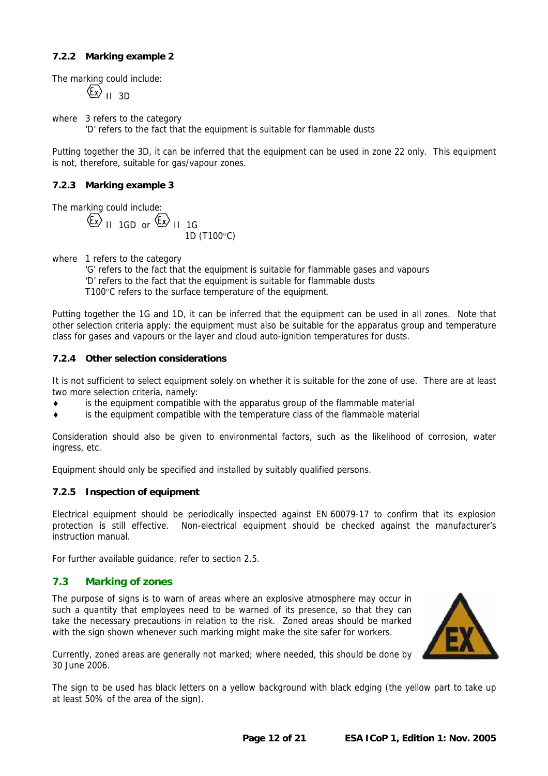## <span id="page-11-0"></span>**7.2.2 Marking example 2**

The marking could include:

 $\langle \xi \chi \rangle$ <sub>II 3D</sub>

where 3 refers to the category 'D' refers to the fact that the equipment is suitable for flammable dusts

Putting together the 3D, it can be inferred that the equipment can be used in zone 22 only. This equipment is not, therefore, suitable for gas/vapour zones.

#### **7.2.3 Marking example 3**

The marking could include:

 $\overline{\text{E}}$  II 1GD or  $\overline{\text{E}}$  II 1G 1D (T100°C)

where 1 refers to the category

'G' refers to the fact that the equipment is suitable for flammable gases and vapours 'D' refers to the fact that the equipment is suitable for flammable dusts T100°C refers to the surface temperature of the equipment.

Putting together the 1G and 1D, it can be inferred that the equipment can be used in all zones. Note that other selection criteria apply: the equipment must also be suitable for the apparatus group and temperature class for gases and vapours or the layer and cloud auto-ignition temperatures for dusts.

#### **7.2.4 Other selection considerations**

It is not sufficient to select equipment solely on whether it is suitable for the zone of use. There are at least two more selection criteria, namely:

- is the equipment compatible with the apparatus group of the flammable material
- is the equipment compatible with the temperature class of the flammable material

Consideration should also be given to environmental factors, such as the likelihood of corrosion, water ingress, etc.

Equipment should only be specified and installed by suitably qualified persons.

#### **7.2.5 Inspection of equipment**

Electrical equipment should be periodically inspected against EN 60079-17 to confirm that its explosion protection is still effective. Non-electrical equipment should be checked against the manufacturer's instruction manual.

For further available guidance, refer to section [2.5.](#page-6-1)

## **7.3 Marking of zones**

The purpose of signs is to warn of areas where an explosive atmosphere may occur in such a quantity that employees need to be warned of its presence, so that they can take the necessary precautions in relation to the risk. Zoned areas should be marked with the sign shown whenever such marking might make the site safer for workers.



Currently, zoned areas are generally not marked; where needed, this should be done by 30 June 2006.

The sign to be used has black letters on a yellow background with black edging (the yellow part to take up at least 50% of the area of the sign).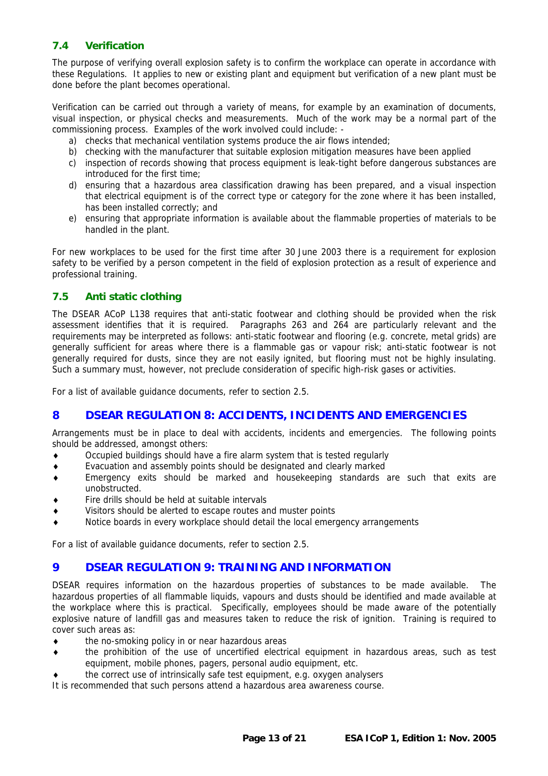# <span id="page-12-0"></span>**7.4 Verification**

The purpose of verifying overall explosion safety is to confirm the workplace can operate in accordance with these Regulations. It applies to new or existing plant and equipment but verification of a new plant must be done before the plant becomes operational.

Verification can be carried out through a variety of means, for example by an examination of documents, visual inspection, or physical checks and measurements. Much of the work may be a normal part of the commissioning process. Examples of the work involved could include: -

- a) checks that mechanical ventilation systems produce the air flows intended;
- b) checking with the manufacturer that suitable explosion mitigation measures have been applied
- c) inspection of records showing that process equipment is leak-tight before dangerous substances are introduced for the first time;
- d) ensuring that a hazardous area classification drawing has been prepared, and a visual inspection that electrical equipment is of the correct type or category for the zone where it has been installed, has been installed correctly; and
- e) ensuring that appropriate information is available about the flammable properties of materials to be handled in the plant.

For new workplaces to be used for the first time after 30 June 2003 there is a requirement for explosion safety to be verified by a person competent in the field of explosion protection as a result of experience and professional training.

# **7.5 Anti static clothing**

The DSEAR ACoP L138 requires that anti-static footwear and clothing should be provided when the risk assessment identifies that it is required. Paragraphs 263 and 264 are particularly relevant and the requirements may be interpreted as follows: anti-static footwear and flooring (e.g. concrete, metal grids) are generally sufficient for areas where there is a flammable gas or vapour risk; anti-static footwear is not generally required for dusts, since they are not easily ignited, but flooring must not be highly insulating. Such a summary must, however, not preclude consideration of specific high-risk gases or activities.

For a list of available guidance documents, refer to section [2.5.](#page-6-1)

# **8 DSEAR REGULATION 8: ACCIDENTS, INCIDENTS AND EMERGENCIES**

Arrangements must be in place to deal with accidents, incidents and emergencies. The following points should be addressed, amongst others:

- ♦ Occupied buildings should have a fire alarm system that is tested regularly
- ♦ Evacuation and assembly points should be designated and clearly marked
- ♦ Emergency exits should be marked and housekeeping standards are such that exits are unobstructed.
- Fire drills should be held at suitable intervals
- Visitors should be alerted to escape routes and muster points
- Notice boards in every workplace should detail the local emergency arrangements

For a list of available guidance documents, refer to section [2.5.](#page-6-1)

## **9 DSEAR REGULATION 9: TRAINING AND INFORMATION**

DSEAR requires information on the hazardous properties of substances to be made available. The hazardous properties of all flammable liquids, vapours and dusts should be identified and made available at the workplace where this is practical. Specifically, employees should be made aware of the potentially explosive nature of landfill gas and measures taken to reduce the risk of ignition. Training is required to cover such areas as:

- the no-smoking policy in or near hazardous areas
- ♦ the prohibition of the use of uncertified electrical equipment in hazardous areas, such as test equipment, mobile phones, pagers, personal audio equipment, etc.
- the correct use of intrinsically safe test equipment, e.g. oxygen analysers

It is recommended that such persons attend a hazardous area awareness course.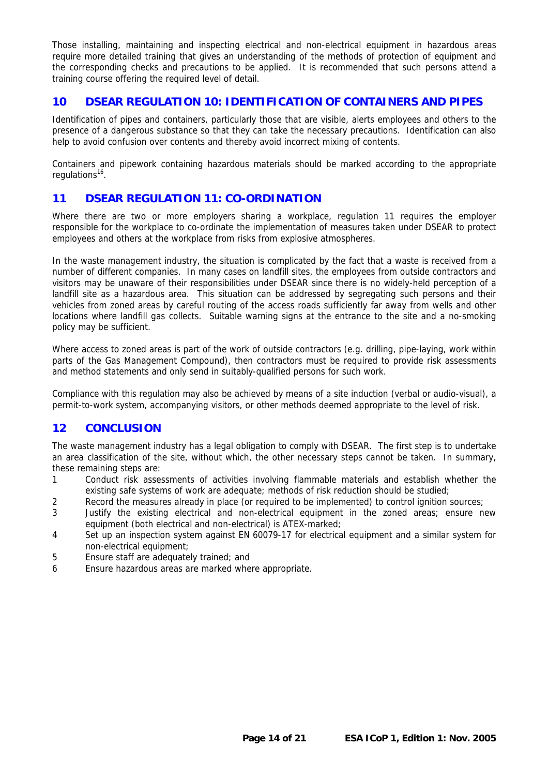<span id="page-13-0"></span>Those installing, maintaining and inspecting electrical and non-electrical equipment in hazardous areas require more detailed training that gives an understanding of the methods of protection of equipment and the corresponding checks and precautions to be applied. It is recommended that such persons attend a training course offering the required level of detail.

# **10 DSEAR REGULATION 10: IDENTIFICATION OF CONTAINERS AND PIPES**

Identification of pipes and containers, particularly those that are visible, alerts employees and others to the presence of a dangerous substance so that they can take the necessary precautions. Identification can also help to avoid confusion over contents and thereby avoid incorrect mixing of contents.

Containers and pipework containing hazardous materials should be marked according to the appropriate regulations<sup>16</sup>.

# **11 DSEAR REGULATION 11: CO-ORDINATION**

Where there are two or more employers sharing a workplace, regulation 11 requires the employer responsible for the workplace to co-ordinate the implementation of measures taken under DSEAR to protect employees and others at the workplace from risks from explosive atmospheres.

In the waste management industry, the situation is complicated by the fact that a waste is received from a number of different companies. In many cases on landfill sites, the employees from outside contractors and visitors may be unaware of their responsibilities under DSEAR since there is no widely-held perception of a landfill site as a hazardous area. This situation can be addressed by segregating such persons and their vehicles from zoned areas by careful routing of the access roads sufficiently far away from wells and other locations where landfill gas collects. Suitable warning signs at the entrance to the site and a no-smoking policy may be sufficient.

Where access to zoned areas is part of the work of outside contractors (e.g. drilling, pipe-laying, work within parts of the Gas Management Compound), then contractors must be required to provide risk assessments and method statements and only send in suitably-qualified persons for such work.

Compliance with this regulation may also be achieved by means of a site induction (verbal or audio-visual), a permit-to-work system, accompanying visitors, or other methods deemed appropriate to the level of risk.

## **12 CONCLUSION**

The waste management industry has a legal obligation to comply with DSEAR. The first step is to undertake an area classification of the site, without which, the other necessary steps cannot be taken. In summary, these remaining steps are:

- 1 Conduct risk assessments of activities involving flammable materials and establish whether the existing safe systems of work are adequate; methods of risk reduction should be studied;
- 2 Record the measures already in place (or required to be implemented) to control ignition sources;
- 3 Justify the existing electrical and non-electrical equipment in the zoned areas; ensure new equipment (both electrical and non-electrical) is ATEX-marked;
- 4 Set up an inspection system against EN 60079-17 for electrical equipment and a similar system for non-electrical equipment;
- 5 Ensure staff are adequately trained; and
- 6 Ensure hazardous areas are marked where appropriate.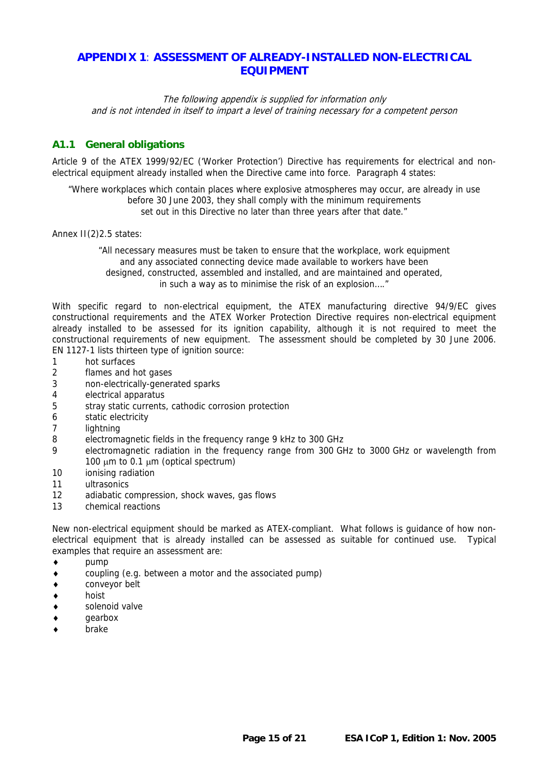# <span id="page-14-1"></span><span id="page-14-0"></span>**APPENDIX 1**: **ASSESSMENT OF ALREADY-INSTALLED NON-ELECTRICAL EQUIPMENT**

The following appendix is supplied for information only and is not intended in itself to impart a level of training necessary for a competent person

# **A1.1 General obligations**

Article 9 of the ATEX 1999/92/EC ('Worker Protection') Directive has requirements for electrical and nonelectrical equipment already installed when the Directive came into force. Paragraph 4 states:

"Where workplaces which contain places where explosive atmospheres may occur, are already in use before 30 June 2003, they shall comply with the minimum requirements set out in this Directive no later than three years after that date."

Annex II(2)2.5 states:

"All necessary measures must be taken to ensure that the workplace, work equipment and any associated connecting device made available to workers have been designed, constructed, assembled and installed, and are maintained and operated, in such a way as to minimise the risk of an explosion…."

With specific regard to non-electrical equipment, the ATEX manufacturing directive 94/9/EC gives constructional requirements and the ATEX Worker Protection Directive requires non-electrical equipment already installed to be assessed for its ignition capability, although it is not required to meet the constructional requirements of new equipment. The assessment should be completed by 30 June 2006. EN 1127-1 lists thirteen type of ignition source:

- 1 hot surfaces
- 2 flames and hot gases
- 3 non-electrically-generated sparks
- 4 electrical apparatus
- 5 stray static currents, cathodic corrosion protection
- 6 static electricity
- 7 lightning
- 8 electromagnetic fields in the frequency range 9 kHz to 300 GHz
- 9 electromagnetic radiation in the frequency range from 300 GHz to 3000 GHz or wavelength from 100  $\mu$ m to 0.1  $\mu$ m (optical spectrum)
- 10 ionising radiation
- 11 ultrasonics
- 12 adiabatic compression, shock waves, gas flows
- 13 chemical reactions

New non-electrical equipment should be marked as ATEX-compliant. What follows is guidance of how nonelectrical equipment that is already installed can be assessed as suitable for continued use. Typical examples that require an assessment are:

- ♦ pump
- ♦ coupling (e.g. between a motor and the associated pump)
- ♦ conveyor belt
- ♦ hoist
- ♦ solenoid valve
- ♦ gearbox
- brake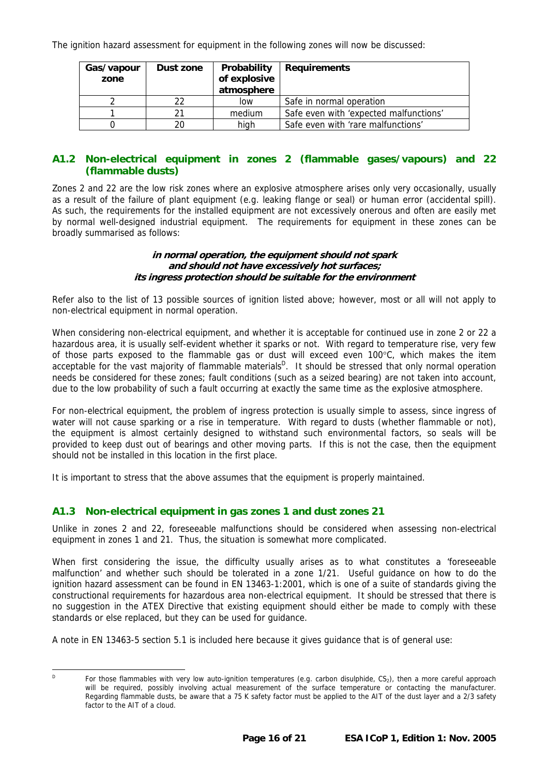<span id="page-15-0"></span>The ignition hazard assessment for equipment in the following zones will now be discussed:

| Gas/vapour<br>zone | Dust zone | Probability<br>of explosive<br>atmosphere | <b>Requirements</b>                    |
|--------------------|-----------|-------------------------------------------|----------------------------------------|
|                    | 22        | low                                       | Safe in normal operation               |
|                    |           | medium                                    | Safe even with 'expected malfunctions' |
|                    |           | high                                      | Safe even with 'rare malfunctions'     |

# **A1.2 Non-electrical equipment in zones 2 (flammable gases/vapours) and 22 (flammable dusts)**

Zones 2 and 22 are the low risk zones where an explosive atmosphere arises only very occasionally, usually as a result of the failure of plant equipment (e.g. leaking flange or seal) or human error (accidental spill). As such, the requirements for the installed equipment are not excessively onerous and often are easily met by normal well-designed industrial equipment. The requirements for equipment in these zones can be broadly summarised as follows:

#### **in normal operation, the equipment should not spark and should not have excessively hot surfaces; its ingress protection should be suitable for the environment**

Refer also to the list of 13 possible sources of ignition listed above; however, most or all will not apply to non-electrical equipment in normal operation.

When considering non-electrical equipment, and whether it is acceptable for continued use in zone 2 or 22 a hazardous area, it is usually self-evident whether it sparks or not. With regard to temperature rise, very few of those parts exposed to the flammable gas or dust will exceed even 100°C, which makes the item acceptable for the vast majority of flammable materials<sup>[D](#page-15-1)</sup>. It should be stressed that only normal operation needs be considered for these zones; fault conditions (such as a seized bearing) are not taken into account, due to the low probability of such a fault occurring at exactly the same time as the explosive atmosphere.

For non-electrical equipment, the problem of ingress protection is usually simple to assess, since ingress of water will not cause sparking or a rise in temperature. With regard to dusts (whether flammable or not), the equipment is almost certainly designed to withstand such environmental factors, so seals will be provided to keep dust out of bearings and other moving parts. If this is not the case, then the equipment should not be installed in this location in the first place.

It is important to stress that the above assumes that the equipment is properly maintained.

## **A1.3 Non-electrical equipment in gas zones 1 and dust zones 21**

Unlike in zones 2 and 22, foreseeable malfunctions should be considered when assessing non-electrical equipment in zones 1 and 21. Thus, the situation is somewhat more complicated.

When first considering the issue, the difficulty usually arises as to what constitutes a 'foreseeable malfunction' and whether such should be tolerated in a zone 1/21. Useful guidance on how to do the ignition hazard assessment can be found in EN 13463-1:2001, which is one of a suite of standards giving the constructional requirements for hazardous area non-electrical equipment. It should be stressed that there is no suggestion in the ATEX Directive that existing equipment should either be made to comply with these standards or else replaced, but they can be used for guidance.

A note in EN 13463-5 section 5.1 is included here because it gives guidance that is of general use:

<span id="page-15-1"></span> $P$  For those flammables with very low auto-ignition temperatures (e.g. carbon disulphide,  $CS_2$ ), then a more careful approach will be required, possibly involving actual measurement of the surface temperature or contacting the manufacturer. Regarding flammable dusts, be aware that a 75 K safety factor must be applied to the AIT of the dust layer and a 2/3 safety factor to the AIT of a cloud.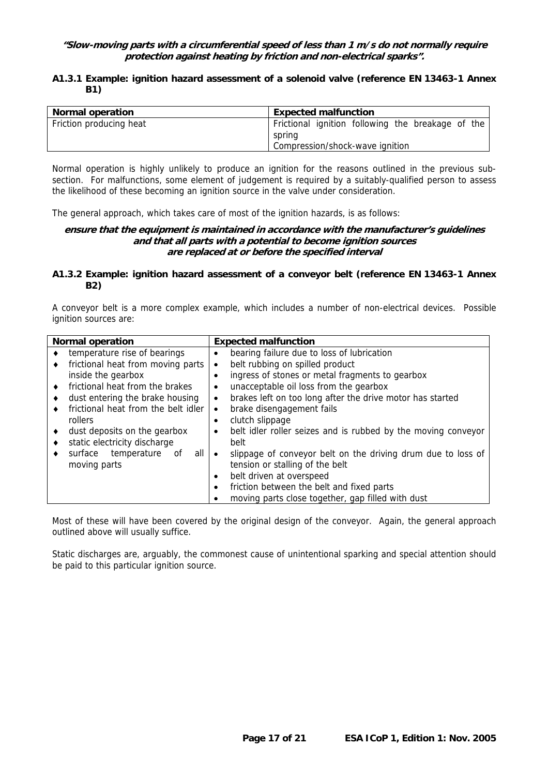#### **"Slow-moving parts with a circumferential speed of less than 1 m/s do not normally require protection against heating by friction and non-electrical sparks".**

#### **A1.3.1 Example: ignition hazard assessment of a solenoid valve (reference EN 13463-1 Annex B1)**

| <b>Normal operation</b> | <b>Expected malfunction</b>                                 |
|-------------------------|-------------------------------------------------------------|
| Friction producing heat | Frictional ignition following the breakage of the<br>spring |
|                         | Compression/shock-wave ignition                             |

Normal operation is highly unlikely to produce an ignition for the reasons outlined in the previous subsection. For malfunctions, some element of judgement is required by a suitably-qualified person to assess the likelihood of these becoming an ignition source in the valve under consideration.

The general approach, which takes care of most of the ignition hazards, is as follows:

#### **ensure that the equipment is maintained in accordance with the manufacturer's guidelines and that all parts with a potential to become ignition sources are replaced at or before the specified interval**

#### **A1.3.2 Example: ignition hazard assessment of a conveyor belt (reference EN 13463-1 Annex B2)**

A conveyor belt is a more complex example, which includes a number of non-electrical devices. Possible ignition sources are:

| <b>Normal operation</b>                   | <b>Expected malfunction</b>                                               |
|-------------------------------------------|---------------------------------------------------------------------------|
| temperature rise of bearings<br>$\bullet$ | bearing failure due to loss of lubrication<br>٠                           |
| frictional heat from moving parts<br>٠    | belt rubbing on spilled product<br>٠                                      |
| inside the gearbox                        | ingress of stones or metal fragments to gearbox                           |
| frictional heat from the brakes           | unacceptable oil loss from the gearbox<br>٠                               |
| dust entering the brake housing<br>٠      | brakes left on too long after the drive motor has started<br>$\bullet$    |
| frictional heat from the belt idler       | brake disengagement fails<br>٠                                            |
| rollers                                   | clutch slippage<br>٠                                                      |
| dust deposits on the gearbox              | belt idler roller seizes and is rubbed by the moving conveyor<br>٠        |
| static electricity discharge<br>٠         | belt                                                                      |
| all I<br>surface<br>temperature<br>of     | slippage of conveyor belt on the driving drum due to loss of<br>$\bullet$ |
| moving parts                              | tension or stalling of the belt                                           |
|                                           | belt driven at overspeed<br>٠                                             |
|                                           | friction between the belt and fixed parts<br>$\bullet$                    |
|                                           | moving parts close together, gap filled with dust<br>٠                    |

Most of these will have been covered by the original design of the conveyor. Again, the general approach outlined above will usually suffice.

Static discharges are, arguably, the commonest cause of unintentional sparking and special attention should be paid to this particular ignition source.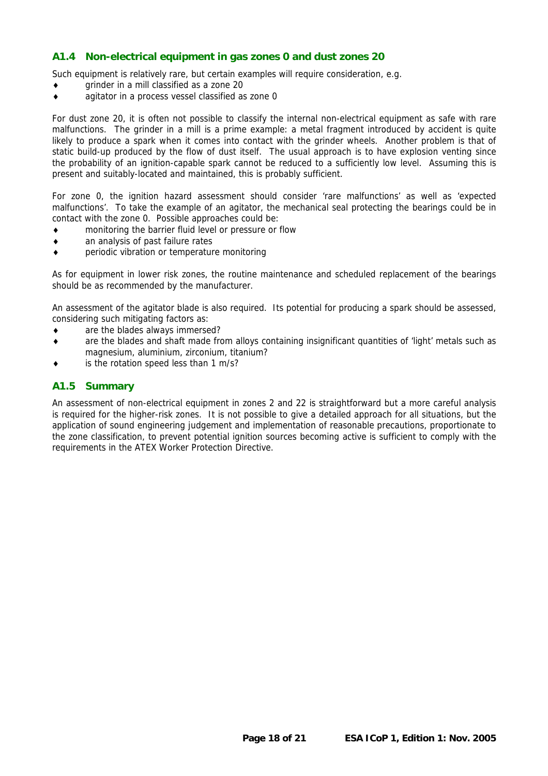## <span id="page-17-0"></span>**A1.4 Non-electrical equipment in gas zones 0 and dust zones 20**

Such equipment is relatively rare, but certain examples will require consideration, e.g.

- ♦ grinder in a mill classified as a zone 20
- ♦ agitator in a process vessel classified as zone 0

For dust zone 20, it is often not possible to classify the internal non-electrical equipment as safe with rare malfunctions. The grinder in a mill is a prime example: a metal fragment introduced by accident is quite likely to produce a spark when it comes into contact with the grinder wheels. Another problem is that of static build-up produced by the flow of dust itself. The usual approach is to have explosion venting since the probability of an ignition-capable spark cannot be reduced to a sufficiently low level. Assuming this is present and suitably-located and maintained, this is probably sufficient.

For zone 0, the ignition hazard assessment should consider 'rare malfunctions' as well as 'expected malfunctions'. To take the example of an agitator, the mechanical seal protecting the bearings could be in contact with the zone 0. Possible approaches could be:

- ♦ monitoring the barrier fluid level or pressure or flow
- ♦ an analysis of past failure rates
- ♦ periodic vibration or temperature monitoring

As for equipment in lower risk zones, the routine maintenance and scheduled replacement of the bearings should be as recommended by the manufacturer.

An assessment of the agitator blade is also required. Its potential for producing a spark should be assessed, considering such mitigating factors as:

- ♦ are the blades always immersed?
- ♦ are the blades and shaft made from alloys containing insignificant quantities of 'light' metals such as magnesium, aluminium, zirconium, titanium?
- is the rotation speed less than 1 m/s?

#### **A1.5 Summary**

An assessment of non-electrical equipment in zones 2 and 22 is straightforward but a more careful analysis is required for the higher-risk zones. It is not possible to give a detailed approach for all situations, but the application of sound engineering judgement and implementation of reasonable precautions, proportionate to the zone classification, to prevent potential ignition sources becoming active is sufficient to comply with the requirements in the ATEX Worker Protection Directive.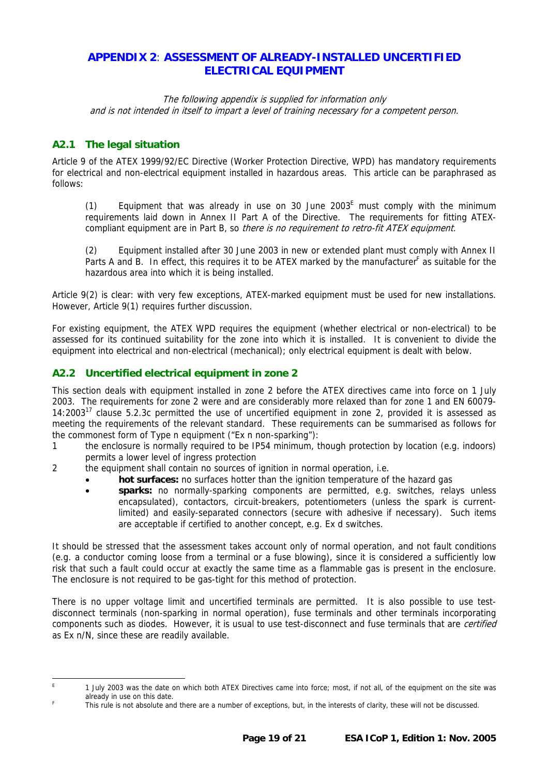# <span id="page-18-1"></span><span id="page-18-0"></span>**APPENDIX 2**: **ASSESSMENT OF ALREADY-INSTALLED UNCERTIFIED ELECTRICAL EQUIPMENT**

The following appendix is supplied for information only and is not intended in itself to impart a level of training necessary for a competent person.

# **A2.1 The legal situation**

Article 9 of the ATEX 1999/92/EC Directive (Worker Protection Directive, WPD) has mandatory requirements for electrical and non-electrical equipment installed in hazardous areas. This article can be paraphrased as follows:

(1) Equipment that was already in use on 30 June 2003<sup>E</sup> must comply with the minimum requirements laid down in Annex II Part A of the Directive. The requirements for fitting ATEXcompliant equipment are in Part B, so there is no requirement to retro-fit ATEX equipment.

(2) Equipment installed after 30 June 2003 in new or extended plant must comply with Annex II Parts A [a](#page-18-3)nd B. In effect, this requires it to be ATEX marked by the manufacturer<sup>F</sup> as suitable for the hazardous area into which it is being installed.

Article 9(2) is clear: with very few exceptions, ATEX-marked equipment must be used for new installations. However, Article 9(1) requires further discussion.

For existing equipment, the ATEX WPD requires the equipment (whether electrical or non-electrical) to be assessed for its continued suitability for the zone into which it is installed. It is convenient to divide the equipment into electrical and non-electrical (mechanical); only electrical equipment is dealt with below.

# **A2.2 Uncertified electrical equipment in zone 2**

This section deals with equipment installed in zone 2 before the ATEX directives came into force on 1 July 2003. The requirements for zone 2 were and are considerably more relaxed than for zone 1 and EN 60079- 14:2003 $^{17}$  clause 5.2.3c permitted the use of uncertified equipment in zone 2, provided it is assessed as meeting the requirements of the relevant standard. These requirements can be summarised as follows for the commonest form of Type n equipment ("Ex n non-sparking"):

- 1 the enclosure is normally required to be IP54 minimum, though protection by location (e.g. indoors) permits a lower level of ingress protection
- 2 the equipment shall contain no sources of ignition in normal operation, i.e.
	- **hot surfaces:** no surfaces hotter than the ignition temperature of the hazard gas
	- **sparks:** no normally-sparking components are permitted, e.g. switches, relays unless encapsulated), contactors, circuit-breakers, potentiometers (unless the spark is currentlimited) and easily-separated connectors (secure with adhesive if necessary). Such items are acceptable if certified to another concept, e.g. Ex d switches.

It should be stressed that the assessment takes account only of normal operation, and not fault conditions (e.g. a conductor coming loose from a terminal or a fuse blowing), since it is considered a sufficiently low risk that such a fault could occur at exactly the same time as a flammable gas is present in the enclosure. The enclosure is not required to be gas-tight for this method of protection.

There is no upper voltage limit and uncertified terminals are permitted. It is also possible to use testdisconnect terminals (non-sparking in normal operation), fuse terminals and other terminals incorporating components such as diodes. However, it is usual to use test-disconnect and fuse terminals that are *certified* as Ex n/N, since these are readily available.

<span id="page-18-2"></span>E 1 July 2003 was the date on which both ATEX Directives came into force; most, if not all, of the equipment on the site was already in use on this date.

<span id="page-18-3"></span>This rule is not absolute and there are a number of exceptions, but, in the interests of clarity, these will not be discussed.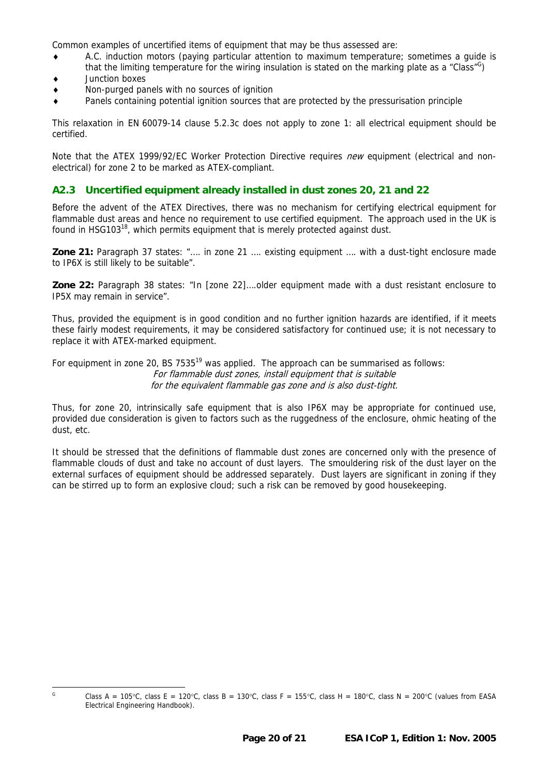<span id="page-19-0"></span>Common examples of uncertified items of equipment that may be thus assessed are:

- A.C. induction motors (paying particular attention to maximum temperature; sometimes a quide is that the limiting temperature for the wiring insulation is stated on the marking plate as a "Class"<sup>[G](#page-19-1)</sup>)
- ♦ Junction boxes
- Non-purged panels with no sources of ignition
- Panels containing potential ignition sources that are protected by the pressurisation principle

This relaxation in EN 60079-14 clause 5.2.3c does not apply to zone 1: all electrical equipment should be certified.

Note that the ATEX 1999/92/EC Worker Protection Directive requires new equipment (electrical and nonelectrical) for zone 2 to be marked as ATEX-compliant.

#### **A2.3 Uncertified equipment already installed in dust zones 20, 21 and 22**

Before the advent of the ATEX Directives, there was no mechanism for certifying electrical equipment for flammable dust areas and hence no requirement to use certified equipment. The approach used in the UK is found in HSG103<sup>18</sup>, which permits equipment that is merely protected against dust.

**Zone 21:** Paragraph 37 states: "…. in zone 21 …. existing equipment …. with a dust-tight enclosure made to IP6X is still likely to be suitable".

**Zone 22:** Paragraph 38 states: "In [zone 22]….older equipment made with a dust resistant enclosure to IP5X may remain in service".

Thus, provided the equipment is in good condition and no further ignition hazards are identified, if it meets these fairly modest requirements, it may be considered satisfactory for continued use; it is not necessary to replace it with ATEX-marked equipment.

For equipment in zone 20, BS 7535<sup>19</sup> was applied. The approach can be summarised as follows: For flammable dust zones, install equipment that is suitable for the equivalent flammable gas zone and is also dust-tight.

Thus, for zone 20, intrinsically safe equipment that is also IP6X may be appropriate for continued use, provided due consideration is given to factors such as the ruggedness of the enclosure, ohmic heating of the dust, etc.

It should be stressed that the definitions of flammable dust zones are concerned only with the presence of flammable clouds of dust and take no account of dust layers. The smouldering risk of the dust layer on the external surfaces of equipment should be addressed separately. Dust layers are significant in zoning if they can be stirred up to form an explosive cloud; such a risk can be removed by good housekeeping.

<span id="page-19-1"></span>G Class A = 105°C, class E = 120°C, class B = 130°C, class F = 155°C, class H = 180°C, class N = 200°C (values from EASA Electrical Engineering Handbook).